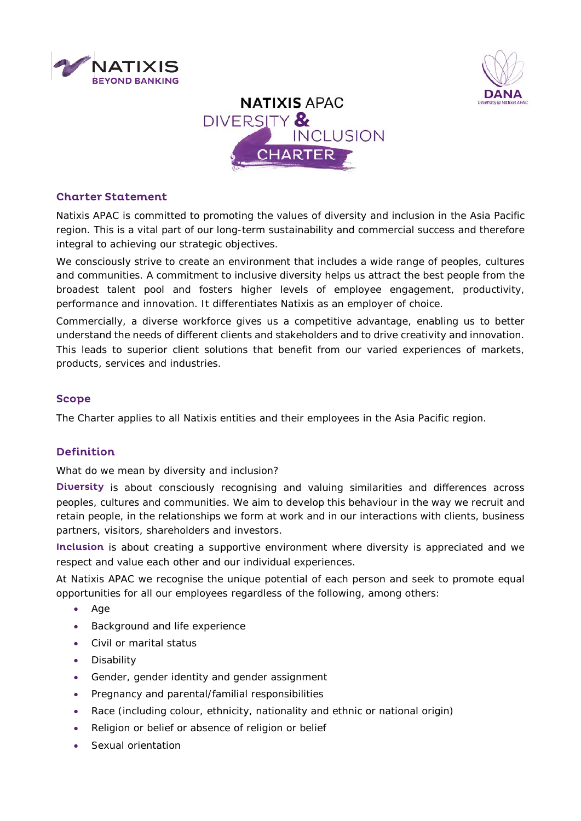



# **NATIXIS APAC** DIVERSITY & INCLUSION **CHARTER**

## Charter Statement

Natixis APAC is committed to promoting the values of diversity and inclusion in the Asia Pacific region. This is a vital part of our long-term sustainability and commercial success and therefore integral to achieving our strategic objectives.

We consciously strive to create an environment that includes a wide range of peoples, cultures and communities. A commitment to inclusive diversity helps us attract the best people from the broadest talent pool and fosters higher levels of employee engagement, productivity, performance and innovation. It differentiates Natixis as an employer of choice.

Commercially, a diverse workforce gives us a competitive advantage, enabling us to better understand the needs of different clients and stakeholders and to drive creativity and innovation. This leads to superior client solutions that benefit from our varied experiences of markets, products, services and industries.

## Scope

The Charter applies to all Natixis entities and their employees in the Asia Pacific region.

## **Definition**

What do we mean by diversity and inclusion?

Diversity is about consciously recognising and valuing similarities and differences across peoples, cultures and communities. We aim to develop this behaviour in the way we recruit and retain people, in the relationships we form at work and in our interactions with clients, business partners, visitors, shareholders and investors.

Inclusion is about creating a supportive environment where diversity is appreciated and we respect and value each other and our individual experiences.

At Natixis APAC we recognise the unique potential of each person and seek to promote equal opportunities for all our employees regardless of the following, among others:

- Age
- Background and life experience
- Civil or marital status
- Disability
- Gender, gender identity and gender assignment
- Pregnancy and parental/familial responsibilities
- Race (including colour, ethnicity, nationality and ethnic or national origin)
- Religion or belief or absence of religion or belief
- Sexual orientation